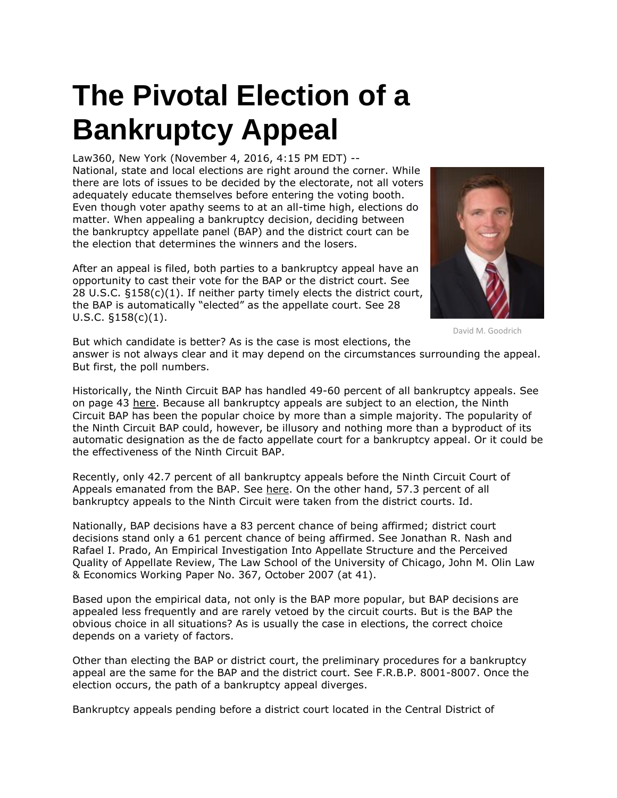## **The Pivotal Election of a Bankruptcy Appeal**

Law360, New York (November 4, 2016, 4:15 PM EDT) --

National, state and local elections are right around the corner. While there are lots of issues to be decided by the electorate, not all voters adequately educate themselves before entering the voting booth. Even though voter apathy seems to at an all-time high, elections do matter. When appealing a bankruptcy decision, deciding between the bankruptcy appellate panel (BAP) and the district court can be the election that determines the winners and the losers.

After an appeal is filed, both parties to a bankruptcy appeal have an opportunity to cast their vote for the BAP or the district court. See 28 U.S.C. §158(c)(1). If neither party timely elects the district court, the BAP is automatically "elected" as the appellate court. See 28 U.S.C. §158(c)(1).



David M. Goodrich

But which candidate is better? As is the case is most elections, the answer is not always clear and it may depend on the circumstances surrounding the appeal. But first, the poll numbers.

Historically, the Ninth Circuit BAP has handled 49-60 percent of all bankruptcy appeals. See on page 43 [here.](http://cdn.ca9.uscourts.gov/datastore/bap/2015/09/01/Litigants_Manual_09_2015.pdf) Because all bankruptcy appeals are subject to an election, the Ninth Circuit BAP has been the popular choice by more than a simple majority. The popularity of the Ninth Circuit BAP could, however, be illusory and nothing more than a byproduct of its automatic designation as the de facto appellate court for a bankruptcy appeal. Or it could be the effectiveness of the Ninth Circuit BAP.

Recently, only 42.7 percent of all bankruptcy appeals before the Ninth Circuit Court of Appeals emanated from the BAP. See [here.](http://cdn.ca9.uscourts.gov/datastore/bap/2015/09/01/Litigants_Manual_09_2015.pdf) On the other hand, 57.3 percent of all bankruptcy appeals to the Ninth Circuit were taken from the district courts. Id.

Nationally, BAP decisions have a 83 percent chance of being affirmed; district court decisions stand only a 61 percent chance of being affirmed. See Jonathan R. Nash and Rafael I. Prado, An Empirical Investigation Into Appellate Structure and the Perceived Quality of Appellate Review, The Law School of the University of Chicago, John M. Olin Law & Economics Working Paper No. 367, October 2007 (at 41).

Based upon the empirical data, not only is the BAP more popular, but BAP decisions are appealed less frequently and are rarely vetoed by the circuit courts. But is the BAP the obvious choice in all situations? As is usually the case in elections, the correct choice depends on a variety of factors.

Other than electing the BAP or district court, the preliminary procedures for a bankruptcy appeal are the same for the BAP and the district court. See F.R.B.P. 8001-8007. Once the election occurs, the path of a bankruptcy appeal diverges.

Bankruptcy appeals pending before a district court located in the Central District of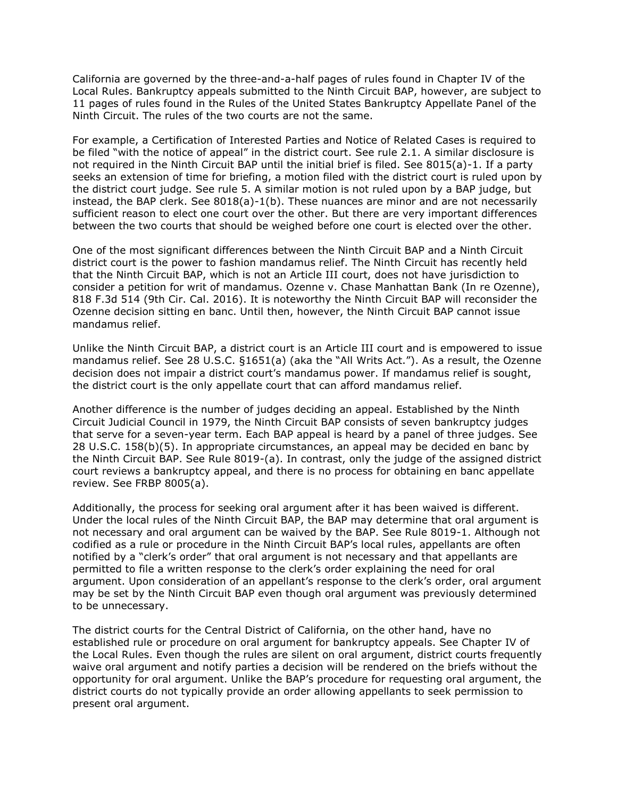California are governed by the three-and-a-half pages of rules found in Chapter IV of the Local Rules. Bankruptcy appeals submitted to the Ninth Circuit BAP, however, are subject to 11 pages of rules found in the Rules of the United States Bankruptcy Appellate Panel of the Ninth Circuit. The rules of the two courts are not the same.

For example, a Certification of Interested Parties and Notice of Related Cases is required to be filed "with the notice of appeal" in the district court. See rule 2.1. A similar disclosure is not required in the Ninth Circuit BAP until the initial brief is filed. See 8015(a)-1. If a party seeks an extension of time for briefing, a motion filed with the district court is ruled upon by the district court judge. See rule 5. A similar motion is not ruled upon by a BAP judge, but instead, the BAP clerk. See 8018(a)-1(b). These nuances are minor and are not necessarily sufficient reason to elect one court over the other. But there are very important differences between the two courts that should be weighed before one court is elected over the other.

One of the most significant differences between the Ninth Circuit BAP and a Ninth Circuit district court is the power to fashion mandamus relief. The Ninth Circuit has recently held that the Ninth Circuit BAP, which is not an Article III court, does not have jurisdiction to consider a petition for writ of mandamus. Ozenne v. Chase Manhattan Bank (In re Ozenne), 818 F.3d 514 (9th Cir. Cal. 2016). It is noteworthy the Ninth Circuit BAP will reconsider the Ozenne decision sitting en banc. Until then, however, the Ninth Circuit BAP cannot issue mandamus relief.

Unlike the Ninth Circuit BAP, a district court is an Article III court and is empowered to issue mandamus relief. See 28 U.S.C. §1651(a) (aka the "All Writs Act."). As a result, the Ozenne decision does not impair a district court's mandamus power. If mandamus relief is sought, the district court is the only appellate court that can afford mandamus relief.

Another difference is the number of judges deciding an appeal. Established by the Ninth Circuit Judicial Council in 1979, the Ninth Circuit BAP consists of seven bankruptcy judges that serve for a seven-year term. Each BAP appeal is heard by a panel of three judges. See 28 U.S.C. 158(b)(5). In appropriate circumstances, an appeal may be decided en banc by the Ninth Circuit BAP. See Rule 8019-(a). In contrast, only the judge of the assigned district court reviews a bankruptcy appeal, and there is no process for obtaining en banc appellate review. See FRBP 8005(a).

Additionally, the process for seeking oral argument after it has been waived is different. Under the local rules of the Ninth Circuit BAP, the BAP may determine that oral argument is not necessary and oral argument can be waived by the BAP. See Rule 8019-1. Although not codified as a rule or procedure in the Ninth Circuit BAP's local rules, appellants are often notified by a "clerk's order" that oral argument is not necessary and that appellants are permitted to file a written response to the clerk's order explaining the need for oral argument. Upon consideration of an appellant's response to the clerk's order, oral argument may be set by the Ninth Circuit BAP even though oral argument was previously determined to be unnecessary.

The district courts for the Central District of California, on the other hand, have no established rule or procedure on oral argument for bankruptcy appeals. See Chapter IV of the Local Rules. Even though the rules are silent on oral argument, district courts frequently waive oral argument and notify parties a decision will be rendered on the briefs without the opportunity for oral argument. Unlike the BAP's procedure for requesting oral argument, the district courts do not typically provide an order allowing appellants to seek permission to present oral argument.